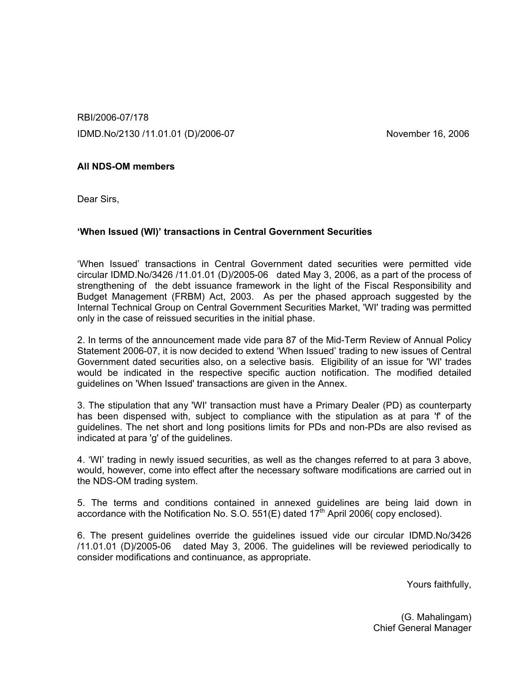RBI/2006-07/178 IDMD.No/2130 /11.01.01 (D)/2006-07 November 16, 2006

## All NDS-OM members

Dear Sirs,

### 'When Issued (WI)' transactions in Central Government Securities

'When Issued' transactions in Central Government dated securities were permitted vide circular IDMD.No/3426 /11.01.01 (D)/2005-06 dated May 3, 2006, as a part of the process of strengthening of the debt issuance framework in the light of the Fiscal Responsibility and Budget Management (FRBM) Act, 2003. As per the phased approach suggested by the Internal Technical Group on Central Government Securities Market, 'WI' trading was permitted only in the case of reissued securities in the initial phase.

2. In terms of the announcement made vide para 87 of the Mid-Term Review of Annual Policy Statement 2006-07, it is now decided to extend 'When Issued' trading to new issues of Central Government dated securities also, on a selective basis. Eligibility of an issue for 'WI' trades would be indicated in the respective specific auction notification. The modified detailed guidelines on 'When Issued' transactions are given in the Annex.

3. The stipulation that any 'WI' transaction must have a Primary Dealer (PD) as counterparty has been dispensed with, subject to compliance with the stipulation as at para 'f' of the guidelines. The net short and long positions limits for PDs and non-PDs are also revised as indicated at para 'g' of the guidelines.

4. 'WI' trading in newly issued securities, as well as the changes referred to at para 3 above, would, however, come into effect after the necessary software modifications are carried out in the NDS-OM trading system.

5. The terms and conditions contained in annexed guidelines are being laid down in accordance with the Notification No. S.O.  $551(E)$  dated  $17<sup>th</sup>$  April 2006( copy enclosed).

6. The present guidelines override the guidelines issued vide our circular IDMD.No/3426 /11.01.01 (D)/2005-06 dated May 3, 2006. The guidelines will be reviewed periodically to consider modifications and continuance, as appropriate.

Yours faithfully,

(G. Mahalingam) Chief General Manager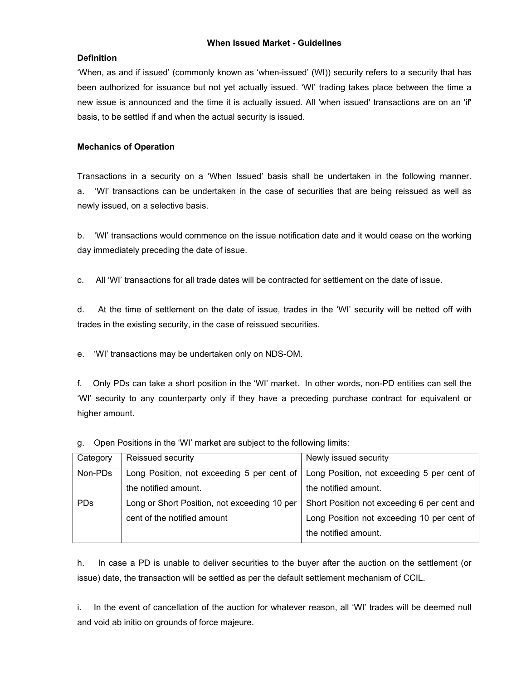### When Issued Market - Guidelines

### **Definition**

'When, as and if issued' (commonly known as 'when-issued' (WI)) security refers to a security that has been authorized for issuance but not yet actually issued. 'WI' trading takes place between the time a new issue is announced and the time it is actually issued. All 'when issued' transactions are on an 'if' basis, to be settled if and when the actual security is issued.

### Mechanics of Operation

Transactions in a security on a 'When Issued' basis shall be undertaken in the following manner. a. 'WI' transactions can be undertaken in the case of securities that are being reissued as well as newly issued, on a selective basis.

b. 'WI' transactions would commence on the issue notification date and it would cease on the working day immediately preceding the date of issue.

c. All 'WI' transactions for all trade dates will be contracted for settlement on the date of issue.

d. At the time of settlement on the date of issue, trades in the 'WI' security will be netted off with trades in the existing security, in the case of reissued securities.

e. 'WI' transactions may be undertaken only on NDS-OM.

f. Only PDs can take a short position in the 'WI' market. In other words, non-PD entities can sell the 'WI' security to any counterparty only if they have a preceding purchase contract for equivalent or higher amount.

| Category   | Reissued security                            | Newly issued security                       |
|------------|----------------------------------------------|---------------------------------------------|
|            |                                              |                                             |
| Non-PDs    | Long Position, not exceeding 5 per cent of   | Long Position, not exceeding 5 per cent of  |
|            | the notified amount.                         | the notified amount.                        |
| <b>PDs</b> | Long or Short Position, not exceeding 10 per | Short Position not exceeding 6 per cent and |
|            | cent of the notified amount                  | Long Position not exceeding 10 per cent of  |
|            |                                              | the notified amount.                        |
|            |                                              |                                             |

g. Open Positions in the 'WI' market are subject to the following limits:

h. In case a PD is unable to deliver securities to the buyer after the auction on the settlement (or issue) date, the transaction will be settled as per the default settlement mechanism of CCIL.

i. In the event of cancellation of the auction for whatever reason, all 'WI' trades will be deemed null and void ab initio on grounds of force majeure.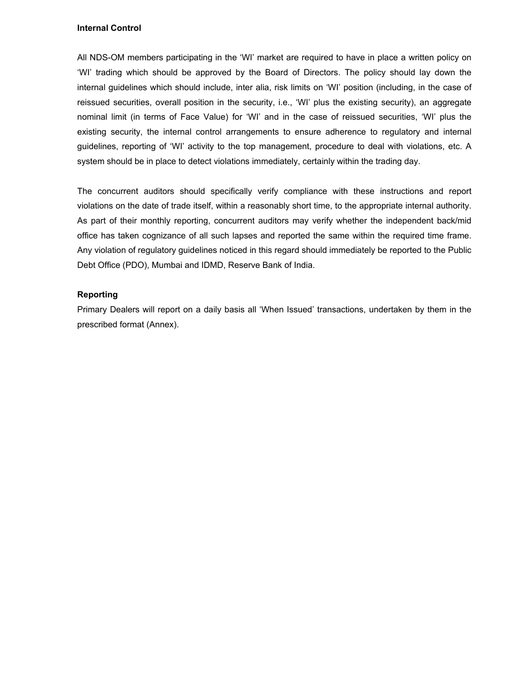### Internal Control

All NDS-OM members participating in the 'WI' market are required to have in place a written policy on 'WI' trading which should be approved by the Board of Directors. The policy should lay down the internal guidelines which should include, inter alia, risk limits on 'WI' position (including, in the case of reissued securities, overall position in the security, i.e., 'WI' plus the existing security), an aggregate nominal limit (in terms of Face Value) for 'WI' and in the case of reissued securities, 'WI' plus the existing security, the internal control arrangements to ensure adherence to regulatory and internal guidelines, reporting of 'WI' activity to the top management, procedure to deal with violations, etc. A system should be in place to detect violations immediately, certainly within the trading day.

The concurrent auditors should specifically verify compliance with these instructions and report violations on the date of trade itself, within a reasonably short time, to the appropriate internal authority. As part of their monthly reporting, concurrent auditors may verify whether the independent back/mid office has taken cognizance of all such lapses and reported the same within the required time frame. Any violation of regulatory guidelines noticed in this regard should immediately be reported to the Public Debt Office (PDO), Mumbai and IDMD, Reserve Bank of India.

### Reporting

Primary Dealers will report on a daily basis all 'When Issued' transactions, undertaken by them in the prescribed format (Annex).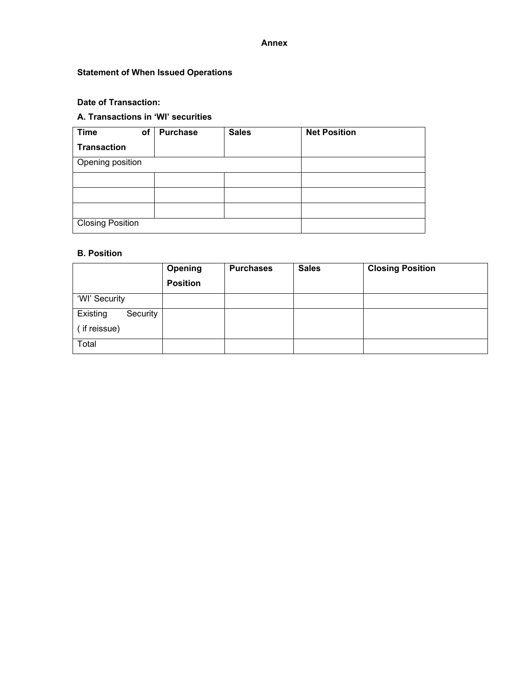### Annex

# Statement of When Issued Operations

## Date of Transaction:

# A. Transactions in 'WI' securities

| <b>Time</b>             | of | <b>Purchase</b> | <b>Sales</b> | <b>Net Position</b> |
|-------------------------|----|-----------------|--------------|---------------------|
| <b>Transaction</b>      |    |                 |              |                     |
| Opening position        |    |                 |              |                     |
|                         |    |                 |              |                     |
|                         |    |                 |              |                     |
|                         |    |                 |              |                     |
| <b>Closing Position</b> |    |                 |              |                     |

### B. Position

|                      | Opening         | <b>Purchases</b> | <b>Sales</b> | <b>Closing Position</b> |
|----------------------|-----------------|------------------|--------------|-------------------------|
|                      | <b>Position</b> |                  |              |                         |
| 'WI' Security        |                 |                  |              |                         |
| Existing<br>Security |                 |                  |              |                         |
| (if reissue)         |                 |                  |              |                         |
| Total                |                 |                  |              |                         |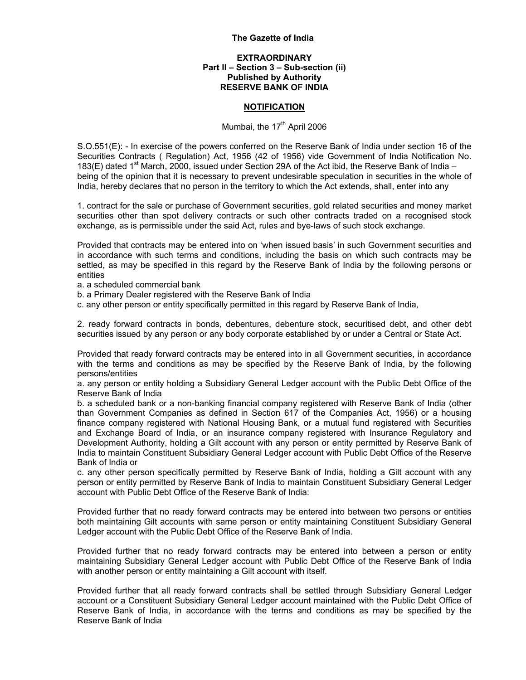#### The Gazette of India

### EXTRAORDINARY Part II – Section 3 – Sub-section (ii) Published by Authority RESERVE BANK OF INDIA

#### **NOTIFICATION**

### Mumbai, the 17<sup>th</sup> April 2006

S.O.551(E): - In exercise of the powers conferred on the Reserve Bank of India under section 16 of the Securities Contracts ( Regulation) Act, 1956 (42 of 1956) vide Government of India Notification No. 183(E) dated 1<sup>st</sup> March, 2000, issued under Section 29A of the Act ibid, the Reserve Bank of India – being of the opinion that it is necessary to prevent undesirable speculation in securities in the whole of India, hereby declares that no person in the territory to which the Act extends, shall, enter into any

1. contract for the sale or purchase of Government securities, gold related securities and money market securities other than spot delivery contracts or such other contracts traded on a recognised stock exchange, as is permissible under the said Act, rules and bye-laws of such stock exchange.

Provided that contracts may be entered into on 'when issued basis' in such Government securities and in accordance with such terms and conditions, including the basis on which such contracts may be settled, as may be specified in this regard by the Reserve Bank of India by the following persons or entities

a. a scheduled commercial bank

- b. a Primary Dealer registered with the Reserve Bank of India
- c. any other person or entity specifically permitted in this regard by Reserve Bank of India,

2. ready forward contracts in bonds, debentures, debenture stock, securitised debt, and other debt securities issued by any person or any body corporate established by or under a Central or State Act.

Provided that ready forward contracts may be entered into in all Government securities, in accordance with the terms and conditions as may be specified by the Reserve Bank of India, by the following persons/entities

a. any person or entity holding a Subsidiary General Ledger account with the Public Debt Office of the Reserve Bank of India

b. a scheduled bank or a non-banking financial company registered with Reserve Bank of India (other than Government Companies as defined in Section 617 of the Companies Act, 1956) or a housing finance company registered with National Housing Bank, or a mutual fund registered with Securities and Exchange Board of India, or an insurance company registered with Insurance Regulatory and Development Authority, holding a Gilt account with any person or entity permitted by Reserve Bank of India to maintain Constituent Subsidiary General Ledger account with Public Debt Office of the Reserve Bank of India or

c. any other person specifically permitted by Reserve Bank of India, holding a Gilt account with any person or entity permitted by Reserve Bank of India to maintain Constituent Subsidiary General Ledger account with Public Debt Office of the Reserve Bank of India:

Provided further that no ready forward contracts may be entered into between two persons or entities both maintaining Gilt accounts with same person or entity maintaining Constituent Subsidiary General Ledger account with the Public Debt Office of the Reserve Bank of India.

Provided further that no ready forward contracts may be entered into between a person or entity maintaining Subsidiary General Ledger account with Public Debt Office of the Reserve Bank of India with another person or entity maintaining a Gilt account with itself.

Provided further that all ready forward contracts shall be settled through Subsidiary General Ledger account or a Constituent Subsidiary General Ledger account maintained with the Public Debt Office of Reserve Bank of India, in accordance with the terms and conditions as may be specified by the Reserve Bank of India